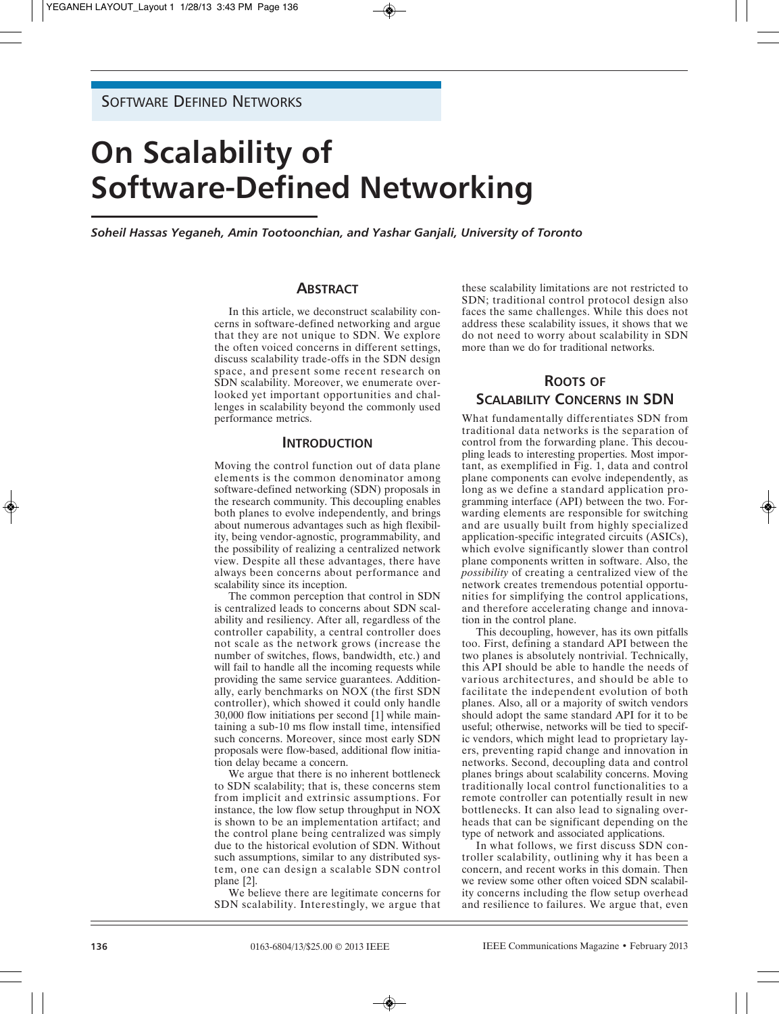# **On Scalability of Software-Defined Networking**

*Soheil Hassas Yeganeh, Amin Tootoonchian, and Yashar Ganjali, University of Toronto*

## **ABSTRACT**

In this article, we deconstruct scalability concerns in software-defined networking and argue that they are not unique to SDN. We explore the often voiced concerns in different settings, discuss scalability trade-offs in the SDN design space, and present some recent research on SDN scalability. Moreover, we enumerate overlooked yet important opportunities and challenges in scalability beyond the commonly used performance metrics.

## **INTRODUCTION**

Moving the control function out of data plane elements is the common denominator among software-defined networking (SDN) proposals in the research community. This decoupling enables both planes to evolve independently, and brings about numerous advantages such as high flexibility, being vendor-agnostic, programmability, and the possibility of realizing a centralized network view. Despite all these advantages, there have always been concerns about performance and scalability since its inception.

The common perception that control in SDN is centralized leads to concerns about SDN scalability and resiliency. After all, regardless of the controller capability, a central controller does not scale as the network grows (increase the number of switches, flows, bandwidth, etc.) and will fail to handle all the incoming requests while providing the same service guarantees. Additionally, early benchmarks on NOX (the first SDN controller), which showed it could only handle 30,000 flow initiations per second [1] while maintaining a sub-10 ms flow install time, intensified such concerns. Moreover, since most early SDN proposals were flow-based, additional flow initiation delay became a concern.

We argue that there is no inherent bottleneck to SDN scalability; that is, these concerns stem from implicit and extrinsic assumptions. For instance, the low flow setup throughput in NOX is shown to be an implementation artifact; and the control plane being centralized was simply due to the historical evolution of SDN. Without such assumptions, similar to any distributed system, one can design a scalable SDN control plane [2].

We believe there are legitimate concerns for SDN scalability. Interestingly, we argue that these scalability limitations are not restricted to SDN; traditional control protocol design also faces the same challenges. While this does not address these scalability issues, it shows that we do not need to worry about scalability in SDN more than we do for traditional networks.

# **ROOTS OF SCALABILITY CONCERNS IN SDN**

What fundamentally differentiates SDN from traditional data networks is the separation of control from the forwarding plane. This decoupling leads to interesting properties. Most important, as exemplified in Fig. 1, data and control plane components can evolve independently, as long as we define a standard application programming interface (API) between the two. Forwarding elements are responsible for switching and are usually built from highly specialized application-specific integrated circuits (ASICs), which evolve significantly slower than control plane components written in software. Also, the *possibility* of creating a centralized view of the network creates tremendous potential opportunities for simplifying the control applications, and therefore accelerating change and innovation in the control plane.

This decoupling, however, has its own pitfalls too. First, defining a standard API between the two planes is absolutely nontrivial. Technically, this API should be able to handle the needs of various architectures, and should be able to facilitate the independent evolution of both planes. Also, all or a majority of switch vendors should adopt the same standard API for it to be useful; otherwise, networks will be tied to specific vendors, which might lead to proprietary layers, preventing rapid change and innovation in networks. Second, decoupling data and control planes brings about scalability concerns. Moving traditionally local control functionalities to a remote controller can potentially result in new bottlenecks. It can also lead to signaling overheads that can be significant depending on the type of network and associated applications.

In what follows, we first discuss SDN controller scalability, outlining why it has been a concern, and recent works in this domain. Then we review some other often voiced SDN scalability concerns including the flow setup overhead and resilience to failures. We argue that, even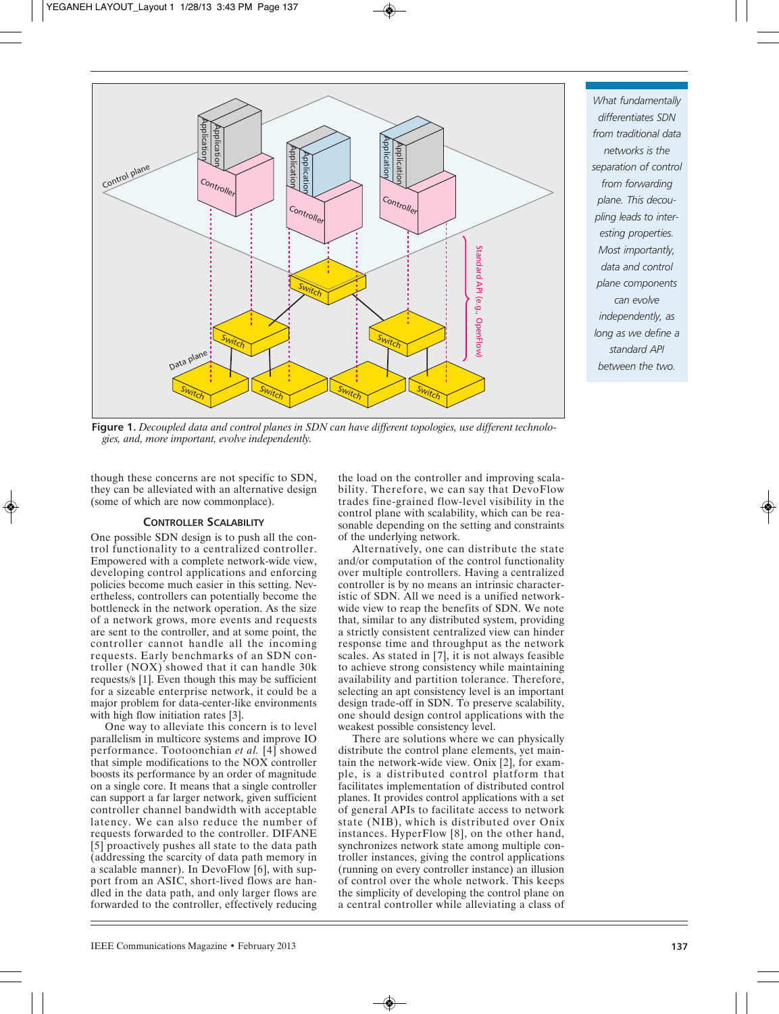

*What fundamentally differentiates SDN from traditional data networks is the separation of control from forwarding plane. This decoupling leads to interesting properties. Most importantly, data and control plane components can evolve independently, as long as we define a standard API between the two.*

**Figure 1.** *Decoupled data and control planes in SDN can have different topologies, use different technologies, and, more important, evolve independently.*

though these concerns are not specific to SDN, they can be alleviated with an alternative design (some of which are now commonplace).

### **CONTROLLER SCALABILITY**

One possible SDN design is to push all the control functionality to a centralized controller. Empowered with a complete network-wide view, developing control applications and enforcing policies become much easier in this setting. Nevertheless, controllers can potentially become the bottleneck in the network operation. As the size of a network grows, more events and requests are sent to the controller, and at some point, the controller cannot handle all the incoming requests. Early benchmarks of an SDN controller (NOX) showed that it can handle 30k requests/s [1]. Even though this may be sufficient for a sizeable enterprise network, it could be a major problem for data-center-like environments with high flow initiation rates [3].

One way to alleviate this concern is to level parallelism in multicore systems and improve IO performance. Tootoonchian *et al.* [4] showed that simple modifications to the NOX controller boosts its performance by an order of magnitude on a single core. It means that a single controller can support a far larger network, given sufficient controller channel bandwidth with acceptable latency. We can also reduce the number of requests forwarded to the controller. DIFANE [5] proactively pushes all state to the data path (addressing the scarcity of data path memory in a scalable manner). In DevoFlow [6], with support from an ASIC, short-lived flows are handled in the data path, and only larger flows are forwarded to the controller, effectively reducing

the load on the controller and improving scalability. Therefore, we can say that DevoFlow trades fine-grained flow-level visibility in the control plane with scalability, which can be reasonable depending on the setting and constraints of the underlying network.

Alternatively, one can distribute the state and/or computation of the control functionality over multiple controllers. Having a centralized controller is by no means an intrinsic characteristic of SDN. All we need is a unified networkwide view to reap the benefits of SDN. We note that, similar to any distributed system, providing a strictly consistent centralized view can hinder response time and throughput as the network scales. As stated in [7], it is not always feasible to achieve strong consistency while maintaining availability and partition tolerance. Therefore, selecting an apt consistency level is an important design trade-off in SDN. To preserve scalability, one should design control applications with the weakest possible consistency level.

There are solutions where we can physically distribute the control plane elements, yet maintain the network-wide view. Onix [2], for example, is a distributed control platform that facilitates implementation of distributed control planes. It provides control applications with a set of general APIs to facilitate access to network state (NIB), which is distributed over Onix instances. HyperFlow [8], on the other hand, synchronizes network state among multiple controller instances, giving the control applications (running on every controller instance) an illusion of control over the whole network. This keeps the simplicity of developing the control plane on a central controller while alleviating a class of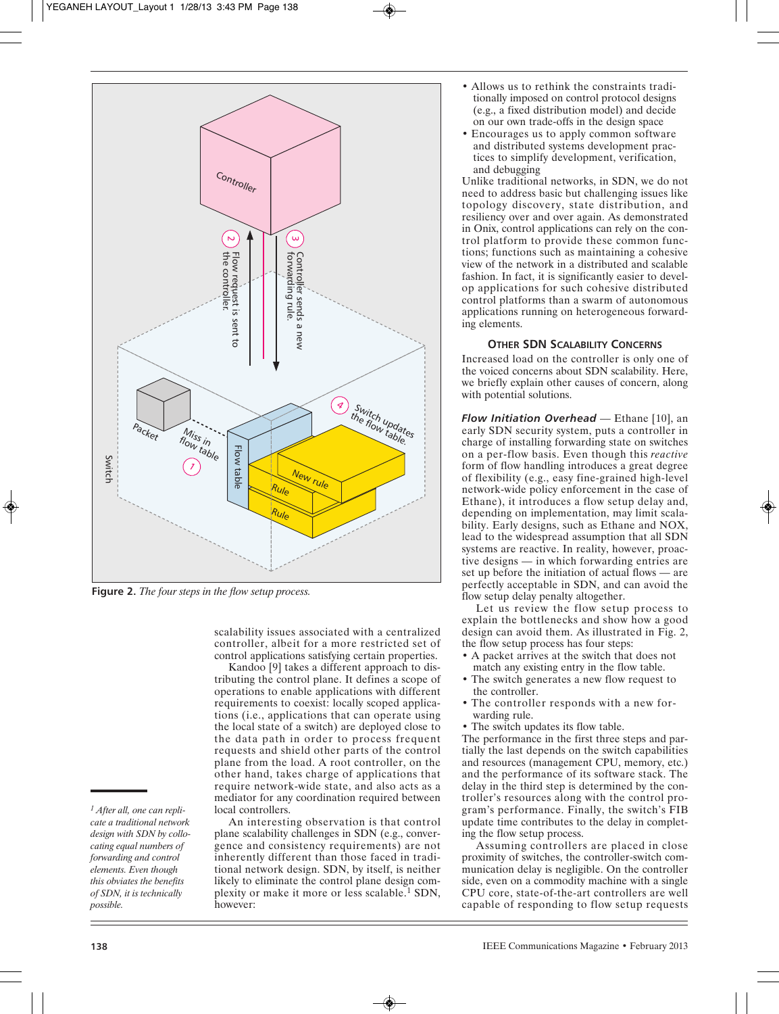

**Figure 2.** *The four steps in the flow setup process.*

scalability issues associated with a centralized controller, albeit for a more restricted set of control applications satisfying certain properties.

Kandoo [9] takes a different approach to distributing the control plane. It defines a scope of operations to enable applications with different requirements to coexist: locally scoped applications (i.e., applications that can operate using the local state of a switch) are deployed close to the data path in order to process frequent requests and shield other parts of the control plane from the load. A root controller, on the other hand, takes charge of applications that require network-wide state, and also acts as a mediator for any coordination required between local controllers.

An interesting observation is that control plane scalability challenges in SDN (e.g., convergence and consistency requirements) are not inherently different than those faced in traditional network design. SDN, by itself, is neither likely to eliminate the control plane design complexity or make it more or less scalable.1 SDN, however:

- Allows us to rethink the constraints traditionally imposed on control protocol designs (e.g., a fixed distribution model) and decide on our own trade-offs in the design space
- Encourages us to apply common software and distributed systems development practices to simplify development, verification, and debugging

Unlike traditional networks, in SDN, we do not need to address basic but challenging issues like topology discovery, state distribution, and resiliency over and over again. As demonstrated in Onix, control applications can rely on the control platform to provide these common functions; functions such as maintaining a cohesive view of the network in a distributed and scalable fashion. In fact, it is significantly easier to develop applications for such cohesive distributed control platforms than a swarm of autonomous applications running on heterogeneous forwarding elements.

## **OTHER SDN SCALABILITY CONCERNS**

Increased load on the controller is only one of the voiced concerns about SDN scalability. Here, we briefly explain other causes of concern, along with potential solutions.

*Flow Initiation Overhead* — Ethane [10], an early SDN security system, puts a controller in charge of installing forwarding state on switches on a per-flow basis. Even though this *reactive* form of flow handling introduces a great degree of flexibility (e.g., easy fine-grained high-level network-wide policy enforcement in the case of Ethane), it introduces a flow setup delay and, depending on implementation, may limit scalability. Early designs, such as Ethane and NOX, lead to the widespread assumption that all SDN systems are reactive. In reality, however, proactive designs — in which forwarding entries are set up before the initiation of actual flows — are perfectly acceptable in SDN, and can avoid the flow setup delay penalty altogether.

Let us review the flow setup process to explain the bottlenecks and show how a good design can avoid them. As illustrated in Fig. 2, the flow setup process has four steps:

- A packet arrives at the switch that does not match any existing entry in the flow table.
- The switch generates a new flow request to the controller.
- The controller responds with a new forwarding rule.
- The switch updates its flow table.

The performance in the first three steps and partially the last depends on the switch capabilities and resources (management CPU, memory, etc.) and the performance of its software stack. The delay in the third step is determined by the controller's resources along with the control program's performance. Finally, the switch's FIB update time contributes to the delay in completing the flow setup process.

Assuming controllers are placed in close proximity of switches, the controller-switch communication delay is negligible. On the controller side, even on a commodity machine with a single CPU core, state-of-the-art controllers are well capable of responding to flow setup requests

*<sup>1</sup> After all, one can replicate a traditional network design with SDN by collocating equal numbers of forwarding and control elements. Even though this obviates the benefits of SDN, it is technically possible.*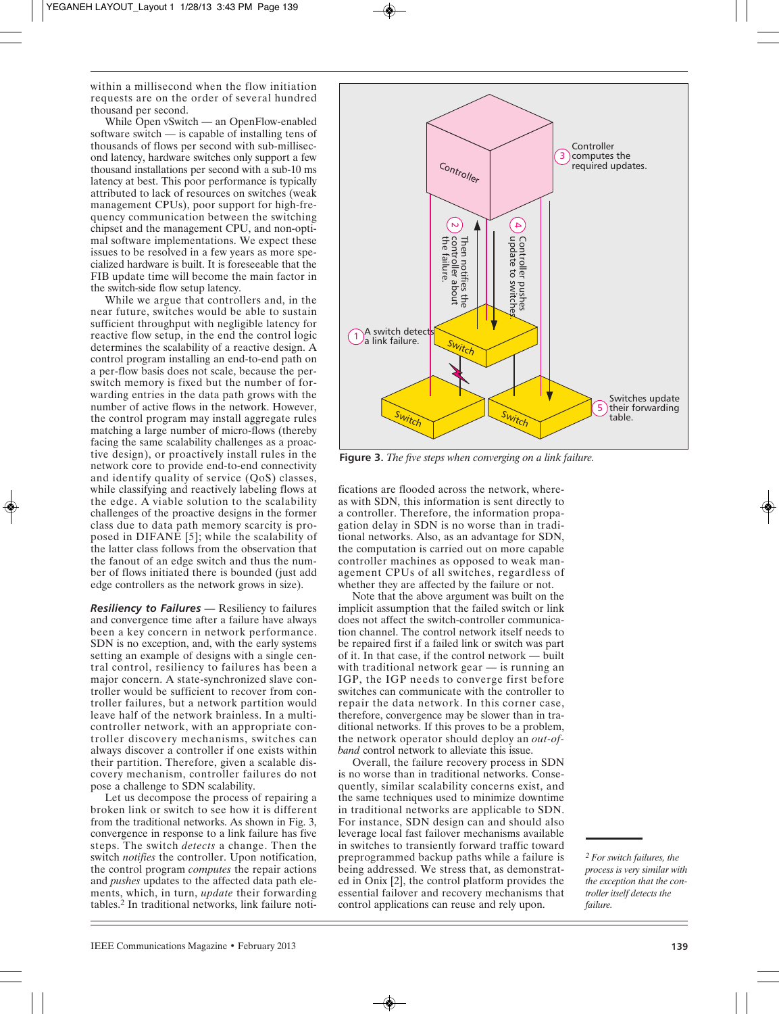within a millisecond when the flow initiation requests are on the order of several hundred thousand per second.

While Open vSwitch — an OpenFlow-enabled software switch — is capable of installing tens of thousands of flows per second with sub-millisecond latency, hardware switches only support a few thousand installations per second with a sub-10 ms latency at best. This poor performance is typically attributed to lack of resources on switches (weak management CPUs), poor support for high-frequency communication between the switching chipset and the management CPU, and non-optimal software implementations. We expect these issues to be resolved in a few years as more specialized hardware is built. It is foreseeable that the FIB update time will become the main factor in the switch-side flow setup latency.

While we argue that controllers and, in the near future, switches would be able to sustain sufficient throughput with negligible latency for reactive flow setup, in the end the control logic determines the scalability of a reactive design. A control program installing an end-to-end path on a per-flow basis does not scale, because the perswitch memory is fixed but the number of forwarding entries in the data path grows with the number of active flows in the network. However, the control program may install aggregate rules matching a large number of micro-flows (thereby facing the same scalability challenges as a proactive design), or proactively install rules in the network core to provide end-to-end connectivity and identify quality of service (QoS) classes, while classifying and reactively labeling flows at the edge. A viable solution to the scalability challenges of the proactive designs in the former class due to data path memory scarcity is proposed in DIFANE [5]; while the scalability of the latter class follows from the observation that the fanout of an edge switch and thus the number of flows initiated there is bounded (just add edge controllers as the network grows in size).

*Resiliency to Failures* — Resiliency to failures and convergence time after a failure have always been a key concern in network performance. SDN is no exception, and, with the early systems setting an example of designs with a single central control, resiliency to failures has been a major concern. A state-synchronized slave controller would be sufficient to recover from controller failures, but a network partition would leave half of the network brainless. In a multicontroller network, with an appropriate controller discovery mechanisms, switches can always discover a controller if one exists within their partition. Therefore, given a scalable discovery mechanism, controller failures do not pose a challenge to SDN scalability.

Let us decompose the process of repairing a broken link or switch to see how it is different from the traditional networks. As shown in Fig. 3, convergence in response to a link failure has five steps. The switch *detects* a change. Then the switch *notifies* the controller. Upon notification, the control program *computes* the repair actions and *pushes* updates to the affected data path elements, which, in turn, *update* their forwarding tables.2 In traditional networks, link failure noti-



**Figure 3.** *The five steps when converging on a link failure.*

fications are flooded across the network, whereas with SDN, this information is sent directly to a controller. Therefore, the information propagation delay in SDN is no worse than in traditional networks. Also, as an advantage for SDN, the computation is carried out on more capable controller machines as opposed to weak management CPUs of all switches, regardless of whether they are affected by the failure or not.

Note that the above argument was built on the implicit assumption that the failed switch or link does not affect the switch-controller communication channel. The control network itself needs to be repaired first if a failed link or switch was part of it. In that case, if the control network — built with traditional network gear — is running an IGP, the IGP needs to converge first before switches can communicate with the controller to repair the data network. In this corner case, therefore, convergence may be slower than in traditional networks. If this proves to be a problem, the network operator should deploy an *out-ofband* control network to alleviate this issue.

Overall, the failure recovery process in SDN is no worse than in traditional networks. Consequently, similar scalability concerns exist, and the same techniques used to minimize downtime in traditional networks are applicable to SDN. For instance, SDN design can and should also leverage local fast failover mechanisms available in switches to transiently forward traffic toward preprogrammed backup paths while a failure is being addressed. We stress that, as demonstrated in Onix [2], the control platform provides the essential failover and recovery mechanisms that control applications can reuse and rely upon.

*<sup>2</sup> For switch failures, the process is very similar with the exception that the controller itself detects the failure.*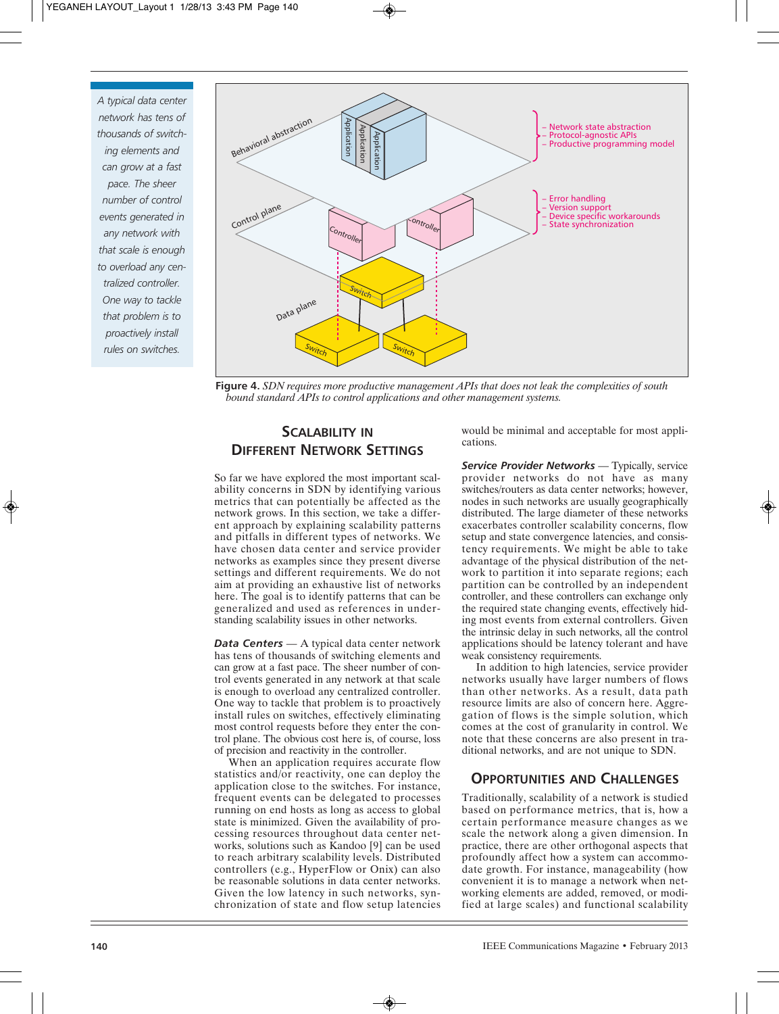*A typical data center network has tens of thousands of switching elements and can grow at a fast pace. The sheer number of control events generated in any network with that scale is enough to overload any centralized controller. One way to tackle that problem is to proactively install rules on switches.*



**Figure 4.** *SDN requires more productive management APIs that does not leak the complexities of south bound standard APIs to control applications and other management systems.*

# **SCALABILITY IN DIFFERENT NETWORK SETTINGS**

So far we have explored the most important scalability concerns in SDN by identifying various metrics that can potentially be affected as the network grows. In this section, we take a different approach by explaining scalability patterns and pitfalls in different types of networks. We have chosen data center and service provider networks as examples since they present diverse settings and different requirements. We do not aim at providing an exhaustive list of networks here. The goal is to identify patterns that can be generalized and used as references in understanding scalability issues in other networks.

*Data Centers* — A typical data center network has tens of thousands of switching elements and can grow at a fast pace. The sheer number of control events generated in any network at that scale is enough to overload any centralized controller. One way to tackle that problem is to proactively install rules on switches, effectively eliminating most control requests before they enter the control plane. The obvious cost here is, of course, loss of precision and reactivity in the controller.

When an application requires accurate flow statistics and/or reactivity, one can deploy the application close to the switches. For instance, frequent events can be delegated to processes running on end hosts as long as access to global state is minimized. Given the availability of processing resources throughout data center networks, solutions such as Kandoo [9] can be used to reach arbitrary scalability levels. Distributed controllers (e.g., HyperFlow or Onix) can also be reasonable solutions in data center networks. Given the low latency in such networks, synchronization of state and flow setup latencies would be minimal and acceptable for most applications.

*Service Provider Networks* — Typically, service provider networks do not have as many switches/routers as data center networks; however, nodes in such networks are usually geographically distributed. The large diameter of these networks exacerbates controller scalability concerns, flow setup and state convergence latencies, and consistency requirements. We might be able to take advantage of the physical distribution of the network to partition it into separate regions; each partition can be controlled by an independent controller, and these controllers can exchange only the required state changing events, effectively hiding most events from external controllers. Given the intrinsic delay in such networks, all the control applications should be latency tolerant and have weak consistency requirements.

In addition to high latencies, service provider networks usually have larger numbers of flows than other networks. As a result, data path resource limits are also of concern here. Aggregation of flows is the simple solution, which comes at the cost of granularity in control. We note that these concerns are also present in traditional networks, and are not unique to SDN.

## **OPPORTUNITIES AND CHALLENGES**

Traditionally, scalability of a network is studied based on performance metrics, that is, how a certain performance measure changes as we scale the network along a given dimension. In practice, there are other orthogonal aspects that profoundly affect how a system can accommodate growth. For instance, manageability (how convenient it is to manage a network when networking elements are added, removed, or modified at large scales) and functional scalability